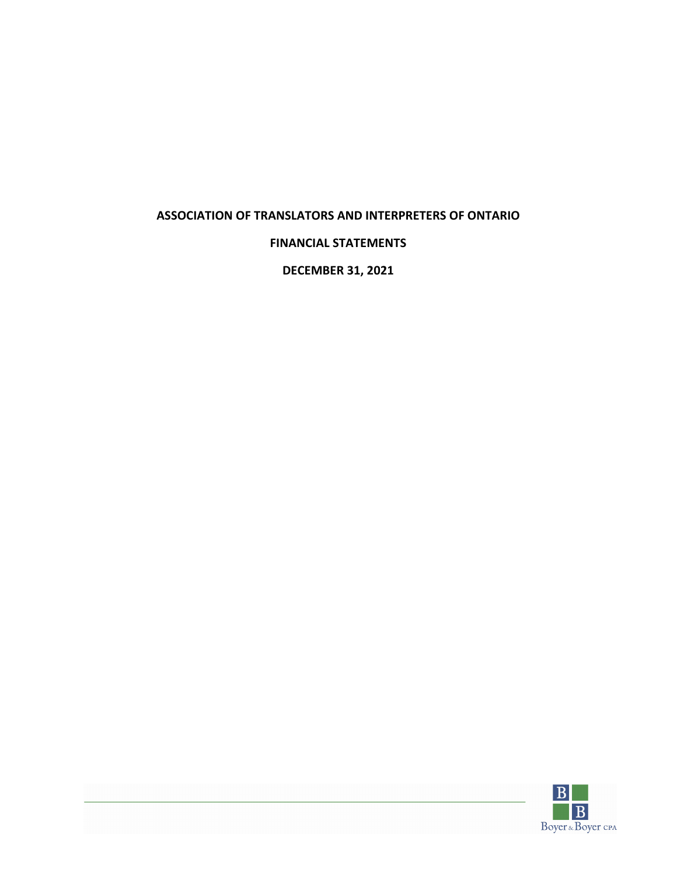## **FINANCIAL STATEMENTS**

**DECEMBER 31, 2021**

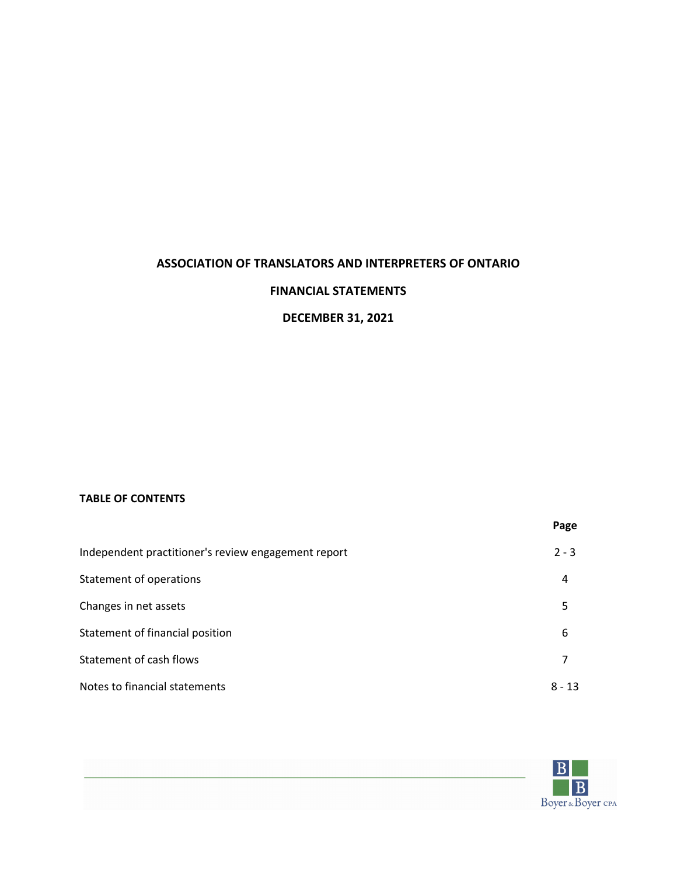## **FINANCIAL STATEMENTS**

## **DECEMBER 31, 2021**

## **TABLE OF CONTENTS**

|                                                     | Page     |
|-----------------------------------------------------|----------|
| Independent practitioner's review engagement report | $2 - 3$  |
| Statement of operations                             | 4        |
| Changes in net assets                               | 5        |
| Statement of financial position                     | 6        |
| Statement of cash flows                             | 7        |
| Notes to financial statements                       | $8 - 13$ |

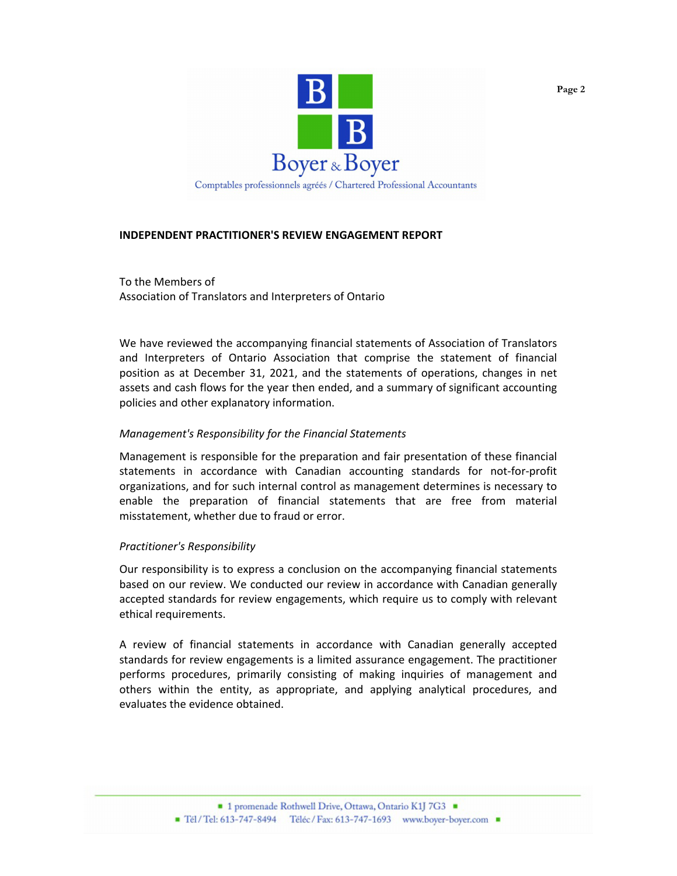

## **INDEPENDENT PRACTITIONER'S REVIEW ENGAGEMENT REPORT**

To the Members of Association of Translators and Interpreters of Ontario

We have reviewed the accompanying financial statements of Association of Translators and Interpreters of Ontario Association that comprise the statement of financial position as at December 31, 2021, and the statements of operations, changes in net assets and cash flows for the year then ended, and a summary of significant accounting policies and other explanatory information.

#### *Management's Responsibility for the Financial Statements*

Management is responsible for the preparation and fair presentation of these financial statements in accordance with Canadian accounting standards for not-for-profit organizations, and for such internal control as management determines is necessary to enable the preparation of financial statements that are free from material misstatement, whether due to fraud or error.

#### *Practitioner's Responsibility*

Our responsibility is to express a conclusion on the accompanying financial statements based on our review. We conducted our review in accordance with Canadian generally accepted standards for review engagements, which require us to comply with relevant ethical requirements.

A review of financial statements in accordance with Canadian generally accepted standards for review engagements is a limited assurance engagement. The practitioner performs procedures, primarily consisting of making inquiries of management and others within the entity, as appropriate, and applying analytical procedures, and evaluates the evidence obtained.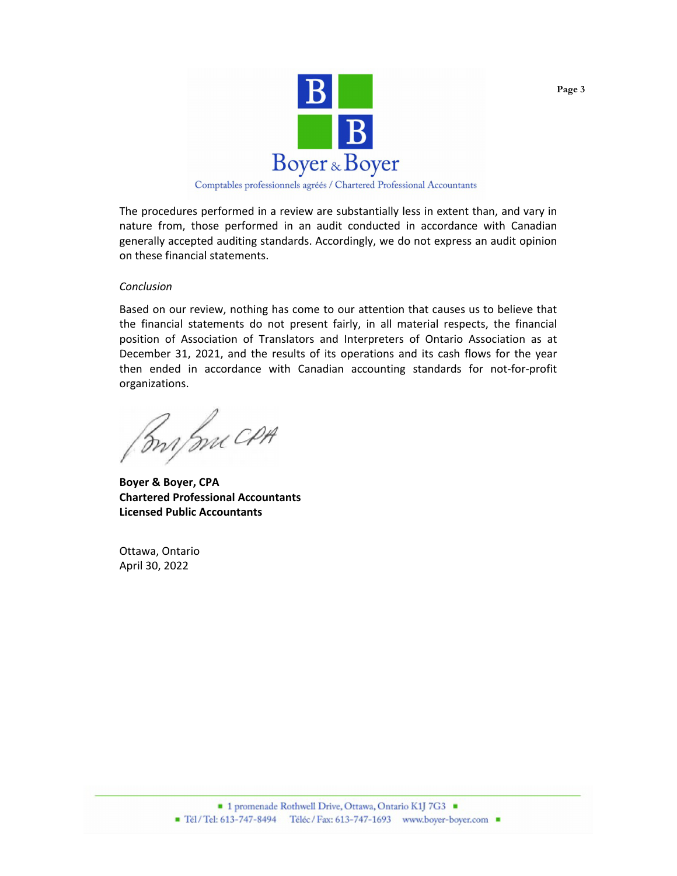

Comptables professionnels agréés / Chartered Professional Accountants

The procedures performed in a review are substantially less in extent than, and vary in nature from, those performed in an audit conducted in accordance with Canadian generally accepted auditing standards. Accordingly, we do not express an audit opinion on these financial statements.

#### *Conclusion*

Based on our review, nothing has come to our attention that causes us to believe that the financial statements do not present fairly, in all material respects, the financial position of Association of Translators and Interpreters of Ontario Association as at December 31, 2021, and the results of its operations and its cash flows for the year then ended in accordance with Canadian accounting standards for not-for-profit organizations.

Bry me CPA

**Boyer & Boyer, CPA Chartered Professional Accountants Licensed Public Accountants**

Ottawa, Ontario April 30, 2022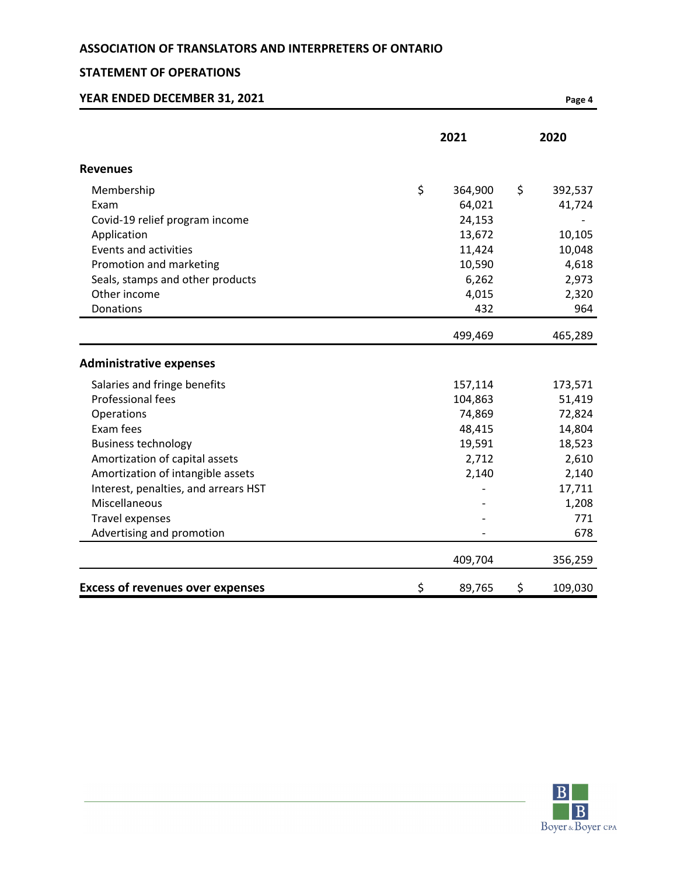## **STATEMENT OF OPERATIONS**

| YEAR ENDED DECEMBER 31, 2021            |               | Page 4        |
|-----------------------------------------|---------------|---------------|
|                                         | 2021          | 2020          |
| <b>Revenues</b>                         |               |               |
| Membership                              | \$<br>364,900 | \$<br>392,537 |
| Exam                                    | 64,021        | 41,724        |
| Covid-19 relief program income          | 24,153        |               |
| Application                             | 13,672        | 10,105        |
| <b>Events and activities</b>            | 11,424        | 10,048        |
| Promotion and marketing                 | 10,590        | 4,618         |
| Seals, stamps and other products        | 6,262         | 2,973         |
| Other income                            | 4,015         | 2,320         |
| Donations                               | 432           | 964           |
|                                         | 499,469       | 465,289       |
| <b>Administrative expenses</b>          |               |               |
| Salaries and fringe benefits            | 157,114       | 173,571       |
| <b>Professional fees</b>                | 104,863       | 51,419        |
| Operations                              | 74,869        | 72,824        |
| Exam fees                               | 48,415        | 14,804        |
| <b>Business technology</b>              | 19,591        | 18,523        |
| Amortization of capital assets          | 2,712         | 2,610         |
| Amortization of intangible assets       | 2,140         | 2,140         |
| Interest, penalties, and arrears HST    |               | 17,711        |
| <b>Miscellaneous</b>                    |               | 1,208         |
| <b>Travel expenses</b>                  |               | 771           |
| Advertising and promotion               |               | 678           |
|                                         | 409,704       | 356,259       |
| <b>Excess of revenues over expenses</b> | \$<br>89,765  | \$<br>109,030 |

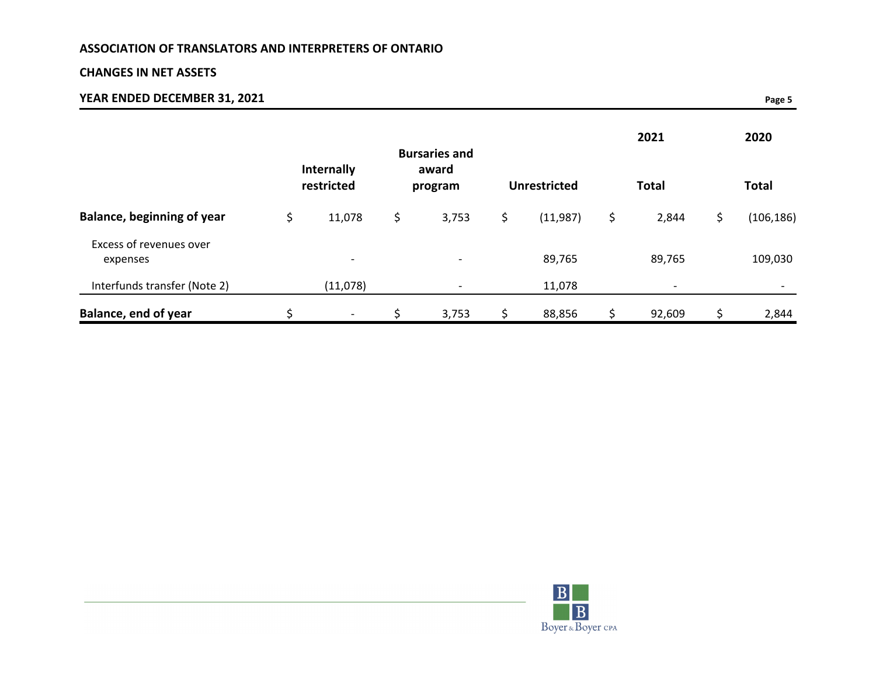## **CHANGES IN NET ASSETS**

# **YEAR ENDED DECEMBER 31, 2021 Page 5**

|                                     | Internally               | <b>Bursaries and</b><br>award |                     | 2021         |    | 2020         |
|-------------------------------------|--------------------------|-------------------------------|---------------------|--------------|----|--------------|
|                                     | restricted               | program                       | <b>Unrestricted</b> | <b>Total</b> |    | <b>Total</b> |
| <b>Balance, beginning of year</b>   | \$<br>11,078             | \$<br>3,753                   | \$<br>(11,987)      | \$<br>2,844  | \$ | (106, 186)   |
| Excess of revenues over<br>expenses | $\overline{\phantom{a}}$ | $\overline{\phantom{0}}$      | 89,765              | 89,765       |    | 109,030      |
| Interfunds transfer (Note 2)        | (11,078)                 |                               | 11,078              |              |    |              |
| Balance, end of year                | -                        | 3,753                         | \$<br>88,856        | \$<br>92,609 | S  | 2,844        |

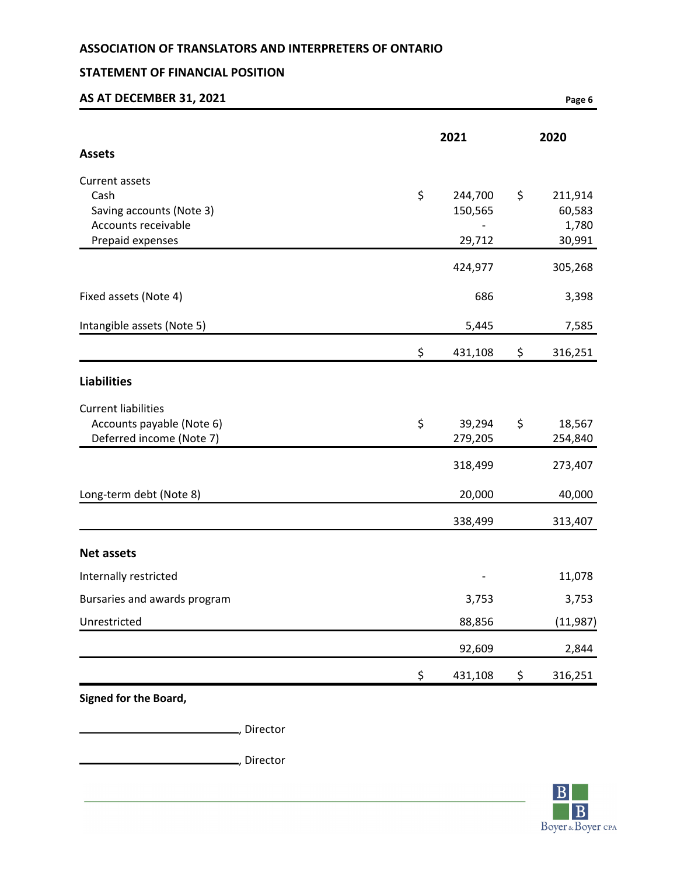## **STATEMENT OF FINANCIAL POSITION**

| AS AT DECEMBER 31, 2021                                                                              |                                    | Page 6                                     |
|------------------------------------------------------------------------------------------------------|------------------------------------|--------------------------------------------|
| <b>Assets</b>                                                                                        | 2021                               | 2020                                       |
| <b>Current assets</b><br>Cash<br>Saving accounts (Note 3)<br>Accounts receivable<br>Prepaid expenses | \$<br>244,700<br>150,565<br>29,712 | \$<br>211,914<br>60,583<br>1,780<br>30,991 |
|                                                                                                      | 424,977                            | 305,268                                    |
| Fixed assets (Note 4)                                                                                | 686                                | 3,398                                      |
| Intangible assets (Note 5)                                                                           | 5,445                              | 7,585                                      |
|                                                                                                      | \$<br>431,108                      | \$<br>316,251                              |
| <b>Liabilities</b>                                                                                   |                                    |                                            |
| <b>Current liabilities</b><br>Accounts payable (Note 6)<br>Deferred income (Note 7)                  | \$<br>39,294<br>279,205            | \$<br>18,567<br>254,840                    |
|                                                                                                      | 318,499                            | 273,407                                    |
| Long-term debt (Note 8)                                                                              | 20,000                             | 40,000                                     |
|                                                                                                      | 338,499                            | 313,407                                    |
| <b>Net assets</b>                                                                                    |                                    |                                            |
| Internally restricted                                                                                | -                                  | 11,078                                     |
| Bursaries and awards program                                                                         | 3,753                              | 3,753                                      |
| Unrestricted                                                                                         | 88,856                             | (11, 987)                                  |
|                                                                                                      | 92,609                             | 2,844                                      |
|                                                                                                      | \$<br>431,108                      | \$<br>316,251                              |

**Signed for the Board,**

, Director

, Director

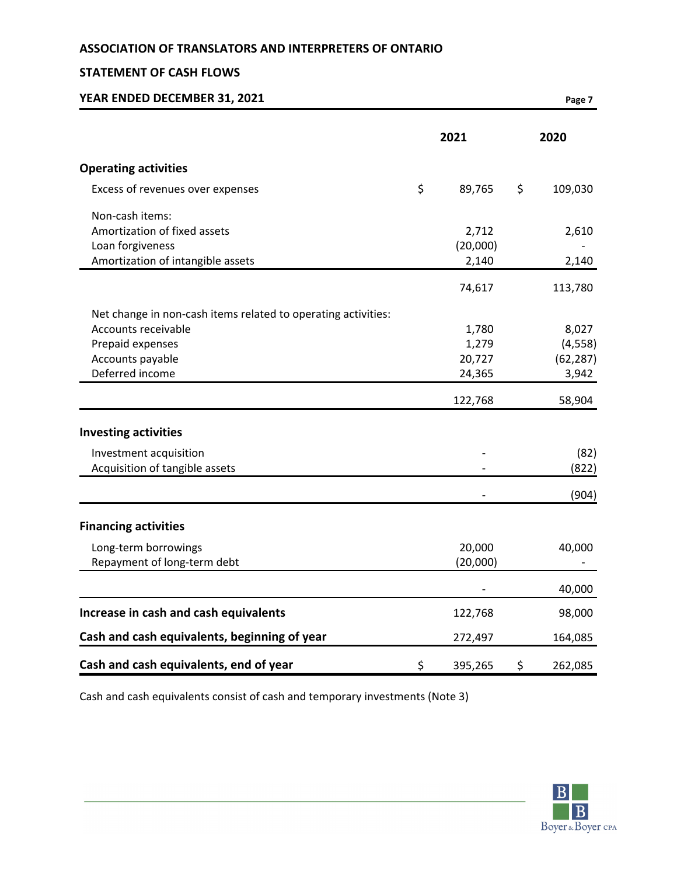## **STATEMENT OF CASH FLOWS**

| YEAR ENDED DECEMBER 31, 2021                                  |               | Page 7        |
|---------------------------------------------------------------|---------------|---------------|
|                                                               | 2021          | 2020          |
| <b>Operating activities</b>                                   |               |               |
| Excess of revenues over expenses                              | \$<br>89,765  | \$<br>109,030 |
| Non-cash items:                                               |               |               |
| Amortization of fixed assets                                  | 2,712         | 2,610         |
| Loan forgiveness                                              | (20,000)      |               |
| Amortization of intangible assets                             | 2,140         | 2,140         |
|                                                               | 74,617        | 113,780       |
| Net change in non-cash items related to operating activities: |               |               |
| Accounts receivable                                           | 1,780         | 8,027         |
| Prepaid expenses                                              | 1,279         | (4, 558)      |
| Accounts payable                                              | 20,727        | (62, 287)     |
| Deferred income                                               | 24,365        | 3,942         |
|                                                               | 122,768       | 58,904        |
| <b>Investing activities</b>                                   |               |               |
| Investment acquisition                                        |               | (82)          |
| Acquisition of tangible assets                                |               | (822)         |
|                                                               |               | (904)         |
| <b>Financing activities</b>                                   |               |               |
| Long-term borrowings                                          | 20,000        | 40,000        |
| Repayment of long-term debt                                   | (20,000)      |               |
|                                                               |               | 40,000        |
| Increase in cash and cash equivalents                         | 122,768       | 98,000        |
| Cash and cash equivalents, beginning of year                  | 272,497       | 164,085       |
| Cash and cash equivalents, end of year                        | \$<br>395,265 | \$<br>262,085 |

Cash and cash equivalents consist of cash and temporary investments (Note 3)

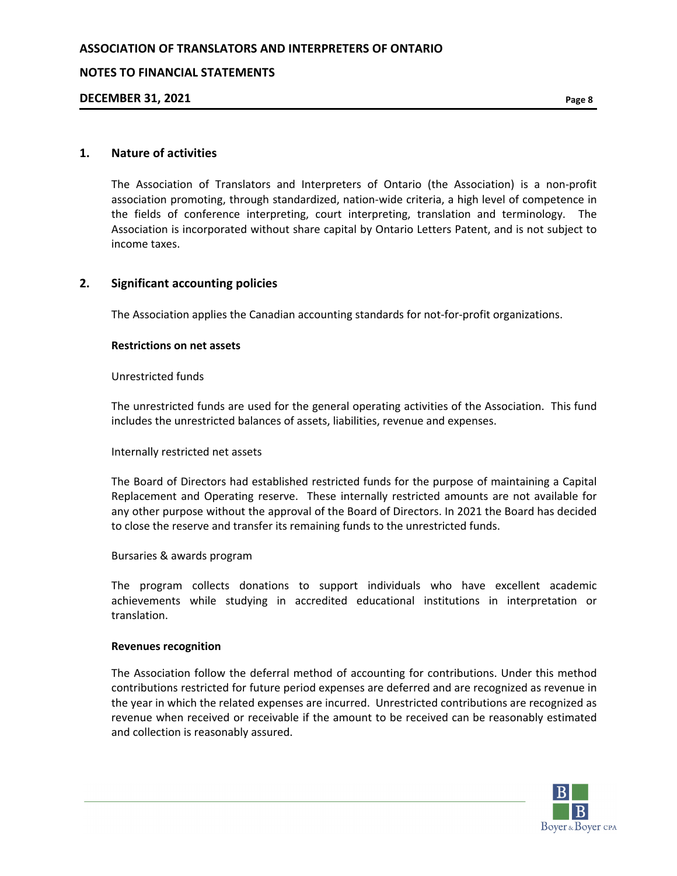## **NOTES TO FINANCIAL STATEMENTS**

### **DECEMBER 31, 2021 Page 8**

### **1. Nature of activities**

The Association of Translators and Interpreters of Ontario (the Association) is a non-profit association promoting, through standardized, nation-wide criteria, a high level of competence in the fields of conference interpreting, court interpreting, translation and terminology. The Association is incorporated without share capital by Ontario Letters Patent, and is not subject to income taxes.

### **2. Significant accounting policies**

The Association applies the Canadian accounting standards for not-for-profit organizations.

#### **Restrictions on net assets**

#### Unrestricted funds

The unrestricted funds are used for the general operating activities of the Association. This fund includes the unrestricted balances of assets, liabilities, revenue and expenses.

#### Internally restricted net assets

The Board of Directors had established restricted funds for the purpose of maintaining a Capital Replacement and Operating reserve. These internally restricted amounts are not available for any other purpose without the approval of the Board of Directors. In 2021 the Board has decided to close the reserve and transfer its remaining funds to the unrestricted funds.

#### Bursaries & awards program

The program collects donations to support individuals who have excellent academic achievements while studying in accredited educational institutions in interpretation or translation.

#### **Revenues recognition**

The Association follow the deferral method of accounting for contributions. Under this method contributions restricted for future period expenses are deferred and are recognized as revenue in the year in which the related expenses are incurred. Unrestricted contributions are recognized as revenue when received or receivable if the amount to be received can be reasonably estimated and collection is reasonably assured.

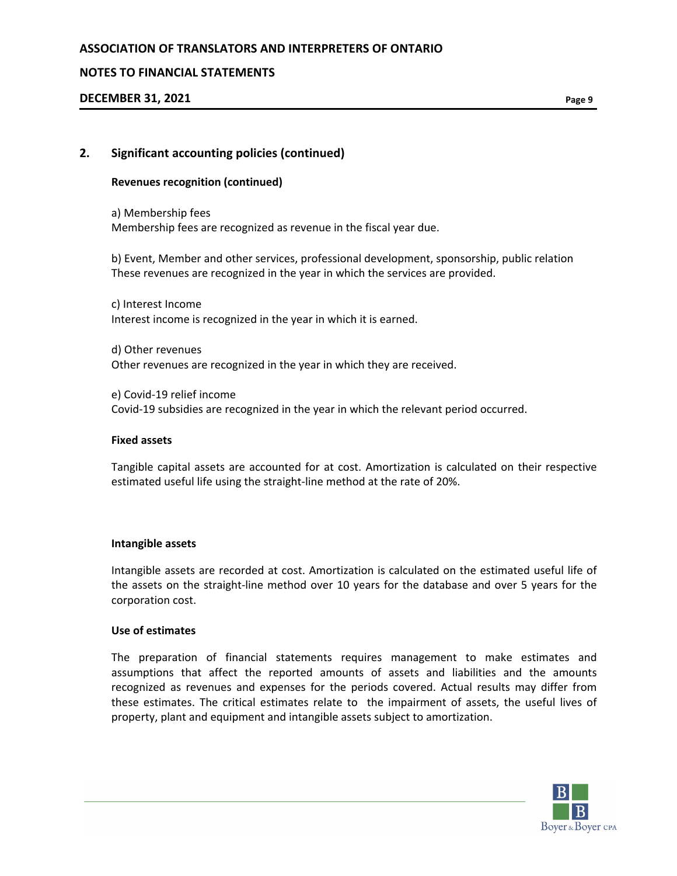## **NOTES TO FINANCIAL STATEMENTS**

## **DECEMBER 31, 2021 Page 9**

### **2. Significant accounting policies (continued)**

#### **Revenues recognition (continued)**

a) Membership fees Membership fees are recognized as revenue in the fiscal year due.

b) Event, Member and other services, professional development, sponsorship, public relation These revenues are recognized in the year in which the services are provided.

c) Interest Income Interest income is recognized in the year in which it is earned.

d) Other revenues Other revenues are recognized in the year in which they are received.

e) Covid-19 relief income Covid-19 subsidies are recognized in the year in which the relevant period occurred.

#### **Fixed assets**

Tangible capital assets are accounted for at cost. Amortization is calculated on their respective estimated useful life using the straight-line method at the rate of 20%.

#### **Intangible assets**

Intangible assets are recorded at cost. Amortization is calculated on the estimated useful life of the assets on the straight-line method over 10 years for the database and over 5 years for the corporation cost.

#### **Use of estimates**

The preparation of financial statements requires management to make estimates and assumptions that affect the reported amounts of assets and liabilities and the amounts recognized as revenues and expenses for the periods covered. Actual results may differ from these estimates. The critical estimates relate to the impairment of assets, the useful lives of property, plant and equipment and intangible assets subject to amortization.

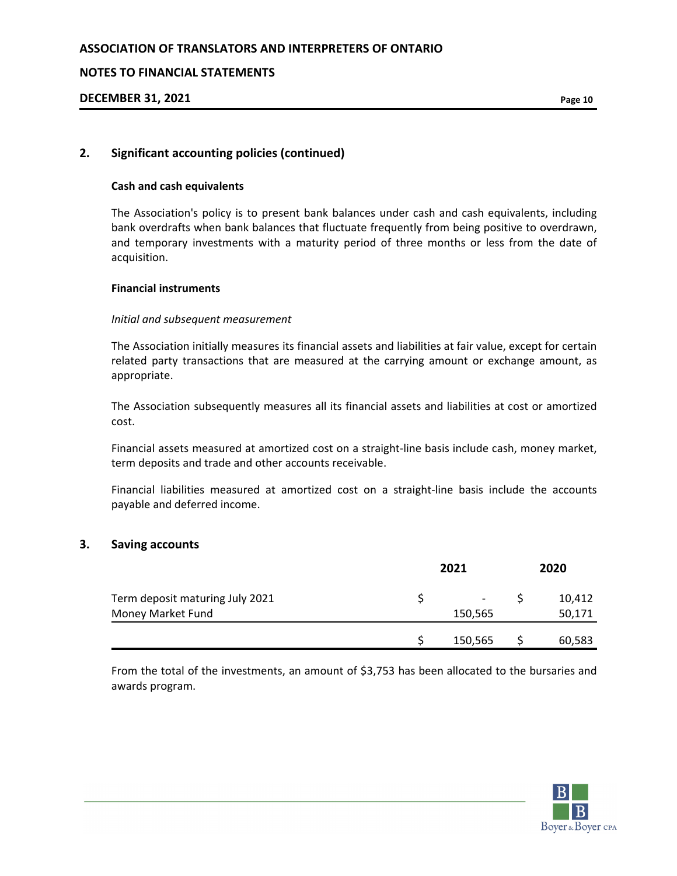### **NOTES TO FINANCIAL STATEMENTS**

## **DECEMBER 31, 2021 Page 10**

## **2. Significant accounting policies (continued)**

#### **Cash and cash equivalents**

The Association's policy is to present bank balances under cash and cash equivalents, including bank overdrafts when bank balances that fluctuate frequently from being positive to overdrawn, and temporary investments with a maturity period of three months or less from the date of acquisition.

### **Financial instruments**

### *Initial and subsequent measurement*

The Association initially measures its financial assets and liabilities at fair value, except for certain related party transactions that are measured at the carrying amount or exchange amount, as appropriate.

The Association subsequently measures all its financial assets and liabilities at cost or amortized cost.

Financial assets measured at amortized cost on a straight-line basis include cash, money market, term deposits and trade and other accounts receivable.

Financial liabilities measured at amortized cost on a straight-line basis include the accounts payable and deferred income.

## **3. Saving accounts**

|                                                      | 2021 |                                     |  | 2020             |  |  |
|------------------------------------------------------|------|-------------------------------------|--|------------------|--|--|
| Term deposit maturing July 2021<br>Money Market Fund |      | $\overline{\phantom{a}}$<br>150,565 |  | 10,412<br>50,171 |  |  |
|                                                      |      | 150,565                             |  | 60,583           |  |  |

From the total of the investments, an amount of \$3,753 has been allocated to the bursaries and awards program.

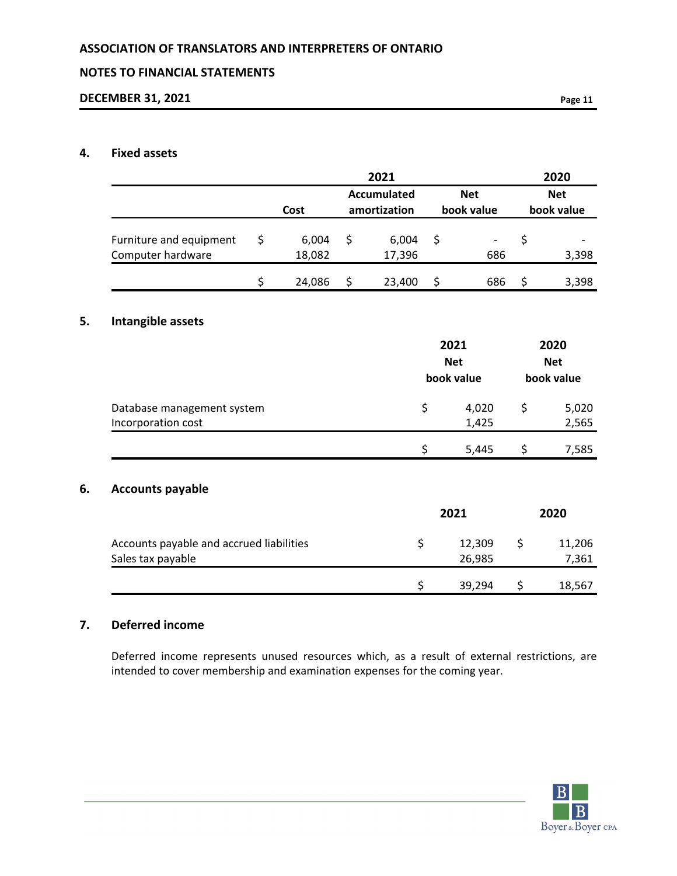## **NOTES TO FINANCIAL STATEMENTS**

## **DECEMBER 31, 2021 Page 11**

## **4. Fixed assets**

|                                          |              | 2021               |             | 2020         |
|------------------------------------------|--------------|--------------------|-------------|--------------|
|                                          |              | <b>Accumulated</b> | <b>Net</b>  | <b>Net</b>   |
|                                          | Cost         | amortization       | book value  | book value   |
| Furniture and equipment                  | \$<br>6,004  | \$<br>6,004        | \$          | \$           |
| Computer hardware                        | 18,082       | 17,396             | 686         | 3,398        |
|                                          | \$<br>24,086 | \$<br>23,400       | \$<br>686   | \$<br>3,398  |
| Intangible assets                        |              |                    |             |              |
|                                          |              |                    | 2021        | 2020         |
|                                          |              |                    | <b>Net</b>  | <b>Net</b>   |
|                                          |              |                    | book value  | book value   |
| Database management system               |              |                    | \$<br>4,020 | \$<br>5,020  |
| Incorporation cost                       |              |                    | 1,425       | 2,565        |
|                                          |              |                    | \$<br>5,445 | \$<br>7,585  |
| <b>Accounts payable</b>                  |              |                    |             |              |
|                                          |              |                    |             |              |
|                                          |              |                    | 2021        | 2020         |
| Accounts payable and accrued liabilities |              | \$                 | 12,309      | \$<br>11,206 |
| Sales tax payable                        |              |                    | 26,985      | 7,361        |
|                                          |              | \$                 | 39,294      | \$<br>18,567 |

## **7. Deferred income**

Deferred income represents unused resources which, as a result of external restrictions, are intended to cover membership and examination expenses for the coming year.

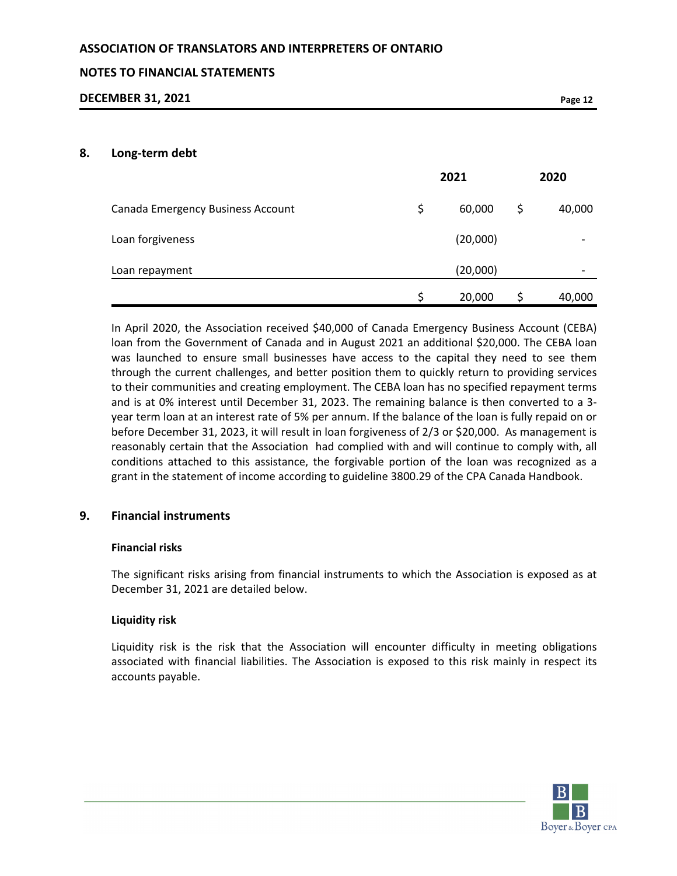## **NOTES TO FINANCIAL STATEMENTS**

### **DECEMBER 31, 2021 Page 12**

#### **8. Long-term debt**

|                                   | 2021 |          |   | 2020   |  |  |
|-----------------------------------|------|----------|---|--------|--|--|
| Canada Emergency Business Account | \$   | 60,000   | Ş | 40,000 |  |  |
| Loan forgiveness                  |      | (20,000) |   |        |  |  |
| Loan repayment                    |      | (20,000) |   |        |  |  |
|                                   | \$   | 20,000   |   | 40,000 |  |  |

In April 2020, the Association received \$40,000 of Canada Emergency Business Account (CEBA) loan from the Government of Canada and in August 2021 an additional \$20,000. The CEBA loan was launched to ensure small businesses have access to the capital they need to see them through the current challenges, and better position them to quickly return to providing services to their communities and creating employment. The CEBA loan has no specified repayment terms and is at 0% interest until December 31, 2023. The remaining balance is then converted to a 3 year term loan at an interest rate of 5% per annum. If the balance of the loan is fully repaid on or before December 31, 2023, it will result in loan forgiveness of 2/3 or \$20,000. As management is reasonably certain that the Association had complied with and will continue to comply with, all conditions attached to this assistance, the forgivable portion of the loan was recognized as a grant in the statement of income according to guideline 3800.29 of the CPA Canada Handbook.

## **9. Financial instruments**

#### **Financial risks**

The significant risks arising from financial instruments to which the Association is exposed as at December 31, 2021 are detailed below.

## **Liquidity risk**

Liquidity risk is the risk that the Association will encounter difficulty in meeting obligations associated with financial liabilities. The Association is exposed to this risk mainly in respect its accounts payable.